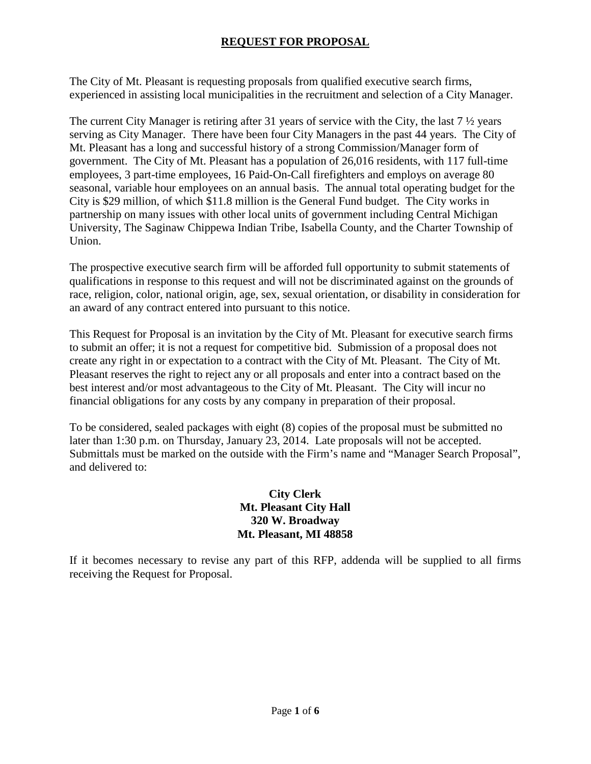## **REQUEST FOR PROPOSAL**

The City of Mt. Pleasant is requesting proposals from qualified executive search firms, experienced in assisting local municipalities in the recruitment and selection of a City Manager.

The current City Manager is retiring after 31 years of service with the City, the last 7 ½ years serving as City Manager. There have been four City Managers in the past 44 years. The City of Mt. Pleasant has a long and successful history of a strong Commission/Manager form of government. The City of Mt. Pleasant has a population of 26,016 residents, with 117 full-time employees, 3 part-time employees, 16 Paid-On-Call firefighters and employs on average 80 seasonal, variable hour employees on an annual basis. The annual total operating budget for the City is \$29 million, of which \$11.8 million is the General Fund budget. The City works in partnership on many issues with other local units of government including Central Michigan University, The Saginaw Chippewa Indian Tribe, Isabella County, and the Charter Township of Union.

The prospective executive search firm will be afforded full opportunity to submit statements of qualifications in response to this request and will not be discriminated against on the grounds of race, religion, color, national origin, age, sex, sexual orientation, or disability in consideration for an award of any contract entered into pursuant to this notice.

This Request for Proposal is an invitation by the City of Mt. Pleasant for executive search firms to submit an offer; it is not a request for competitive bid. Submission of a proposal does not create any right in or expectation to a contract with the City of Mt. Pleasant. The City of Mt. Pleasant reserves the right to reject any or all proposals and enter into a contract based on the best interest and/or most advantageous to the City of Mt. Pleasant. The City will incur no financial obligations for any costs by any company in preparation of their proposal.

To be considered, sealed packages with eight (8) copies of the proposal must be submitted no later than 1:30 p.m. on Thursday, January 23, 2014. Late proposals will not be accepted. Submittals must be marked on the outside with the Firm's name and "Manager Search Proposal", and delivered to:

### **City Clerk Mt. Pleasant City Hall 320 W. Broadway Mt. Pleasant, MI 48858**

If it becomes necessary to revise any part of this RFP, addenda will be supplied to all firms receiving the Request for Proposal.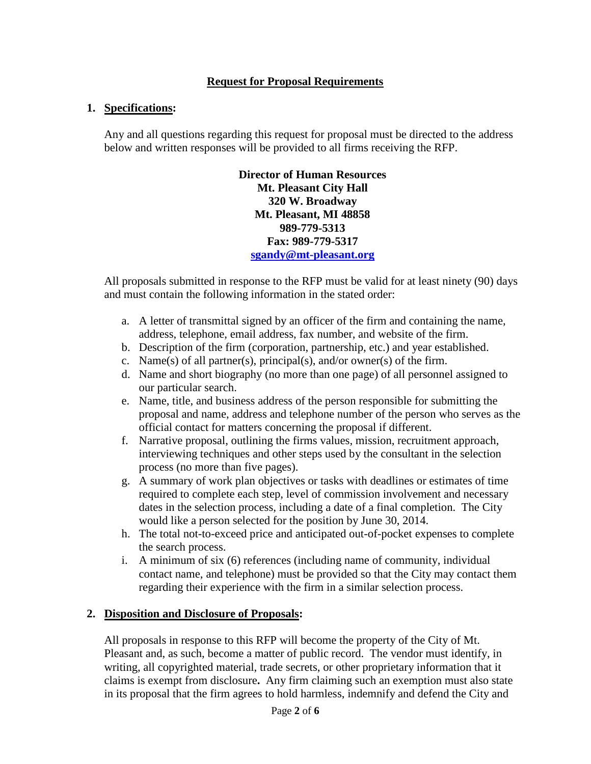#### **Request for Proposal Requirements**

#### **1. Specifications:**

Any and all questions regarding this request for proposal must be directed to the address below and written responses will be provided to all firms receiving the RFP.

> **Director of Human Resources Mt. Pleasant City Hall 320 W. Broadway Mt. Pleasant, MI 48858 989-779-5313 Fax: 989-779-5317 [sgandy@mt-pleasant.org](mailto:sgandy@mt-pleasant.org)**

All proposals submitted in response to the RFP must be valid for at least ninety (90) days and must contain the following information in the stated order:

- a. A letter of transmittal signed by an officer of the firm and containing the name, address, telephone, email address, fax number, and website of the firm.
- b. Description of the firm (corporation, partnership, etc.) and year established.
- c. Name(s) of all partner(s), principal(s), and/or owner(s) of the firm.
- d. Name and short biography (no more than one page) of all personnel assigned to our particular search.
- e. Name, title, and business address of the person responsible for submitting the proposal and name, address and telephone number of the person who serves as the official contact for matters concerning the proposal if different.
- f. Narrative proposal, outlining the firms values, mission, recruitment approach, interviewing techniques and other steps used by the consultant in the selection process (no more than five pages).
- g. A summary of work plan objectives or tasks with deadlines or estimates of time required to complete each step, level of commission involvement and necessary dates in the selection process, including a date of a final completion. The City would like a person selected for the position by June 30, 2014.
- h. The total not-to-exceed price and anticipated out-of-pocket expenses to complete the search process.
- i. A minimum of six (6) references (including name of community, individual contact name, and telephone) must be provided so that the City may contact them regarding their experience with the firm in a similar selection process.

#### **2. Disposition and Disclosure of Proposals:**

All proposals in response to this RFP will become the property of the City of Mt. Pleasant and, as such, become a matter of public record. The vendor must identify, in writing, all copyrighted material, trade secrets, or other proprietary information that it claims is exempt from disclosure**.** Any firm claiming such an exemption must also state in its proposal that the firm agrees to hold harmless, indemnify and defend the City and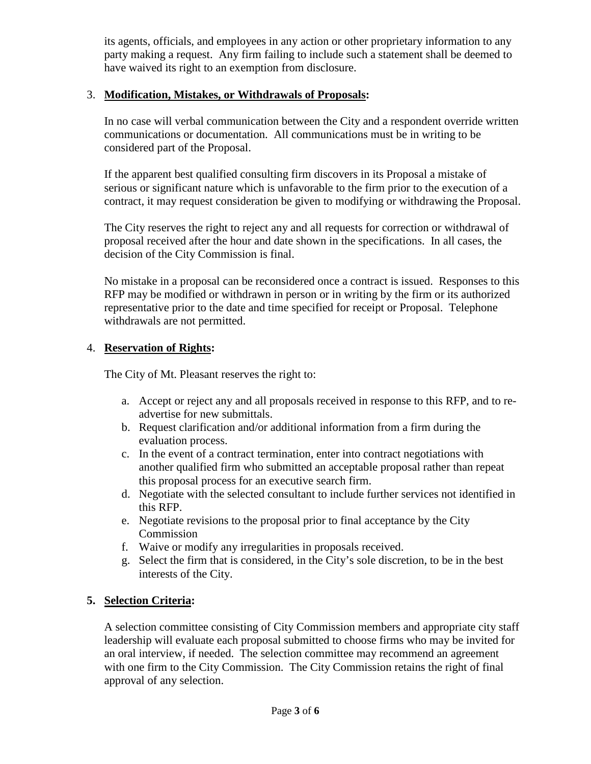its agents, officials, and employees in any action or other proprietary information to any party making a request. Any firm failing to include such a statement shall be deemed to have waived its right to an exemption from disclosure.

### 3. **Modification, Mistakes, or Withdrawals of Proposals:**

In no case will verbal communication between the City and a respondent override written communications or documentation. All communications must be in writing to be considered part of the Proposal.

If the apparent best qualified consulting firm discovers in its Proposal a mistake of serious or significant nature which is unfavorable to the firm prior to the execution of a contract, it may request consideration be given to modifying or withdrawing the Proposal.

The City reserves the right to reject any and all requests for correction or withdrawal of proposal received after the hour and date shown in the specifications. In all cases, the decision of the City Commission is final.

No mistake in a proposal can be reconsidered once a contract is issued. Responses to this RFP may be modified or withdrawn in person or in writing by the firm or its authorized representative prior to the date and time specified for receipt or Proposal. Telephone withdrawals are not permitted.

# 4. **Reservation of Rights:**

The City of Mt. Pleasant reserves the right to:

- a. Accept or reject any and all proposals received in response to this RFP, and to readvertise for new submittals.
- b. Request clarification and/or additional information from a firm during the evaluation process.
- c. In the event of a contract termination, enter into contract negotiations with another qualified firm who submitted an acceptable proposal rather than repeat this proposal process for an executive search firm.
- d. Negotiate with the selected consultant to include further services not identified in this RFP.
- e. Negotiate revisions to the proposal prior to final acceptance by the City Commission
- f. Waive or modify any irregularities in proposals received.
- g. Select the firm that is considered, in the City's sole discretion, to be in the best interests of the City.

# **5. Selection Criteria:**

A selection committee consisting of City Commission members and appropriate city staff leadership will evaluate each proposal submitted to choose firms who may be invited for an oral interview, if needed. The selection committee may recommend an agreement with one firm to the City Commission. The City Commission retains the right of final approval of any selection.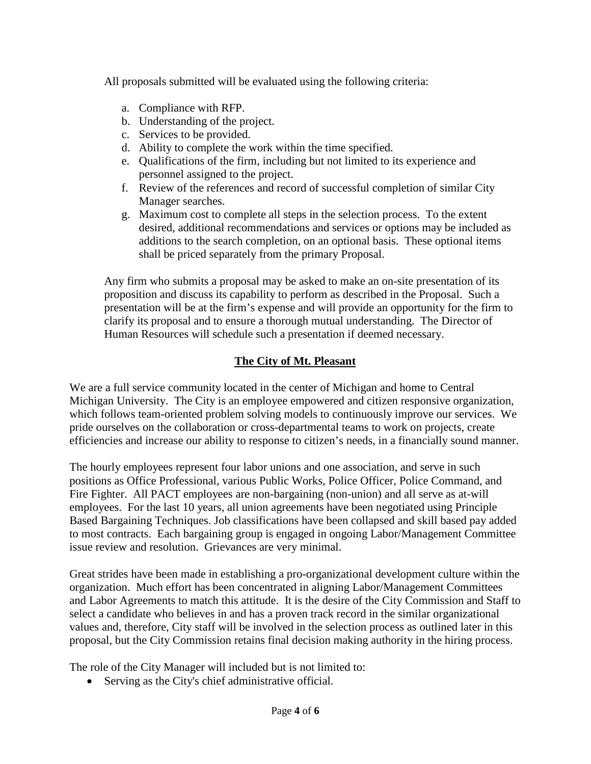All proposals submitted will be evaluated using the following criteria:

- a. Compliance with RFP.
- b. Understanding of the project.
- c. Services to be provided.
- d. Ability to complete the work within the time specified.
- e. Qualifications of the firm, including but not limited to its experience and personnel assigned to the project.
- f. Review of the references and record of successful completion of similar City Manager searches.
- g. Maximum cost to complete all steps in the selection process. To the extent desired, additional recommendations and services or options may be included as additions to the search completion, on an optional basis. These optional items shall be priced separately from the primary Proposal.

Any firm who submits a proposal may be asked to make an on-site presentation of its proposition and discuss its capability to perform as described in the Proposal. Such a presentation will be at the firm's expense and will provide an opportunity for the firm to clarify its proposal and to ensure a thorough mutual understanding. The Director of Human Resources will schedule such a presentation if deemed necessary.

# **The City of Mt. Pleasant**

We are a full service community located in the center of Michigan and home to Central Michigan University. The City is an employee empowered and citizen responsive organization, which follows team-oriented problem solving models to continuously improve our services. We pride ourselves on the collaboration or cross-departmental teams to work on projects, create efficiencies and increase our ability to response to citizen's needs, in a financially sound manner.

The hourly employees represent four labor unions and one association, and serve in such positions as Office Professional, various Public Works, Police Officer, Police Command, and Fire Fighter. All PACT employees are non-bargaining (non-union) and all serve as at-will employees. For the last 10 years, all union agreements have been negotiated using Principle Based Bargaining Techniques. Job classifications have been collapsed and skill based pay added to most contracts. Each bargaining group is engaged in ongoing Labor/Management Committee issue review and resolution. Grievances are very minimal.

Great strides have been made in establishing a pro-organizational development culture within the organization. Much effort has been concentrated in aligning Labor/Management Committees and Labor Agreements to match this attitude. It is the desire of the City Commission and Staff to select a candidate who believes in and has a proven track record in the similar organizational values and, therefore, City staff will be involved in the selection process as outlined later in this proposal, but the City Commission retains final decision making authority in the hiring process.

The role of the City Manager will included but is not limited to:

• Serving as the City's chief administrative official.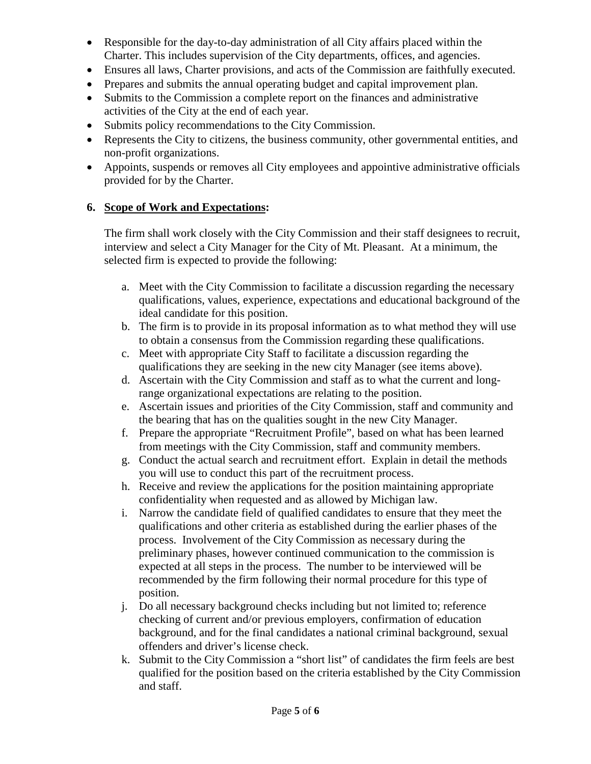- Responsible for the day-to-day administration of all City affairs placed within the Charter. This includes supervision of the City departments, offices, and agencies.
- Ensures all laws, Charter provisions, and acts of the Commission are faithfully executed.
- Prepares and submits the annual operating budget and capital improvement plan.
- Submits to the Commission a complete report on the finances and administrative activities of the City at the end of each year.
- Submits policy recommendations to the City Commission.
- Represents the City to citizens, the business community, other governmental entities, and non-profit organizations.
- Appoints, suspends or removes all City employees and appointive administrative officials provided for by the Charter.

### **6. Scope of Work and Expectations:**

The firm shall work closely with the City Commission and their staff designees to recruit, interview and select a City Manager for the City of Mt. Pleasant. At a minimum, the selected firm is expected to provide the following:

- a. Meet with the City Commission to facilitate a discussion regarding the necessary qualifications, values, experience, expectations and educational background of the ideal candidate for this position.
- b. The firm is to provide in its proposal information as to what method they will use to obtain a consensus from the Commission regarding these qualifications.
- c. Meet with appropriate City Staff to facilitate a discussion regarding the qualifications they are seeking in the new city Manager (see items above).
- d. Ascertain with the City Commission and staff as to what the current and longrange organizational expectations are relating to the position.
- e. Ascertain issues and priorities of the City Commission, staff and community and the bearing that has on the qualities sought in the new City Manager.
- f. Prepare the appropriate "Recruitment Profile", based on what has been learned from meetings with the City Commission, staff and community members.
- g. Conduct the actual search and recruitment effort. Explain in detail the methods you will use to conduct this part of the recruitment process.
- h. Receive and review the applications for the position maintaining appropriate confidentiality when requested and as allowed by Michigan law.
- i. Narrow the candidate field of qualified candidates to ensure that they meet the qualifications and other criteria as established during the earlier phases of the process. Involvement of the City Commission as necessary during the preliminary phases, however continued communication to the commission is expected at all steps in the process. The number to be interviewed will be recommended by the firm following their normal procedure for this type of position.
- j. Do all necessary background checks including but not limited to; reference checking of current and/or previous employers, confirmation of education background, and for the final candidates a national criminal background, sexual offenders and driver's license check.
- k. Submit to the City Commission a "short list" of candidates the firm feels are best qualified for the position based on the criteria established by the City Commission and staff.